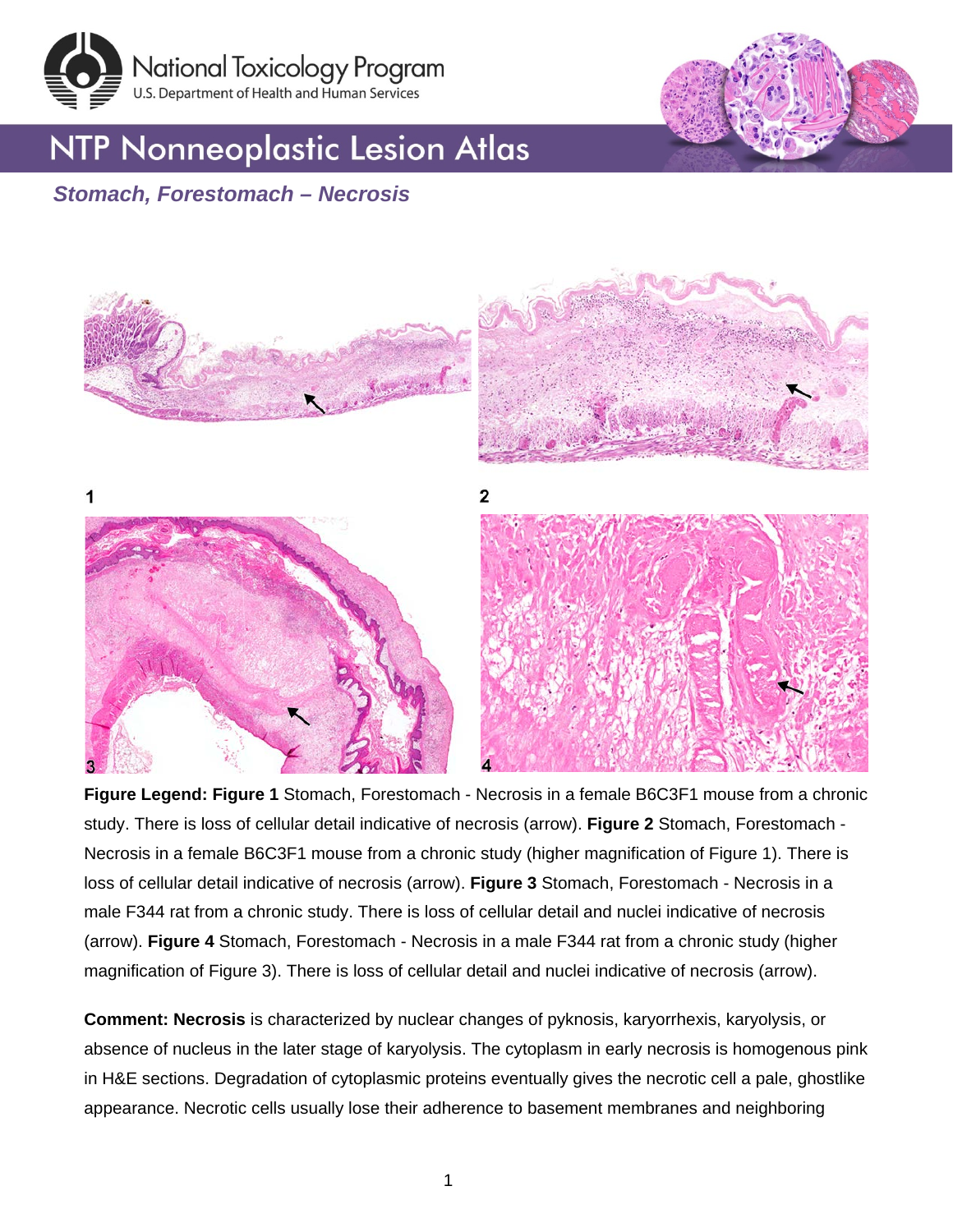

## **NTP Nonneoplastic Lesion Atlas**



### *Stomach, Forestomach – Necrosis*



**Figure Legend: Figure 1** Stomach, Forestomach - Necrosis in a female B6C3F1 mouse from a chronic study. There is loss of cellular detail indicative of necrosis (arrow). **Figure 2** Stomach, Forestomach - Necrosis in a female B6C3F1 mouse from a chronic study (higher magnification of Figure 1). There is loss of cellular detail indicative of necrosis (arrow). **Figure 3** Stomach, Forestomach - Necrosis in a male F344 rat from a chronic study. There is loss of cellular detail and nuclei indicative of necrosis (arrow). **Figure 4** Stomach, Forestomach - Necrosis in a male F344 rat from a chronic study (higher magnification of Figure 3). There is loss of cellular detail and nuclei indicative of necrosis (arrow).

**Comment: Necrosis** is characterized by nuclear changes of pyknosis, karyorrhexis, karyolysis, or absence of nucleus in the later stage of karyolysis. The cytoplasm in early necrosis is homogenous pink in H&E sections. Degradation of cytoplasmic proteins eventually gives the necrotic cell a pale, ghostlike appearance. Necrotic cells usually lose their adherence to basement membranes and neighboring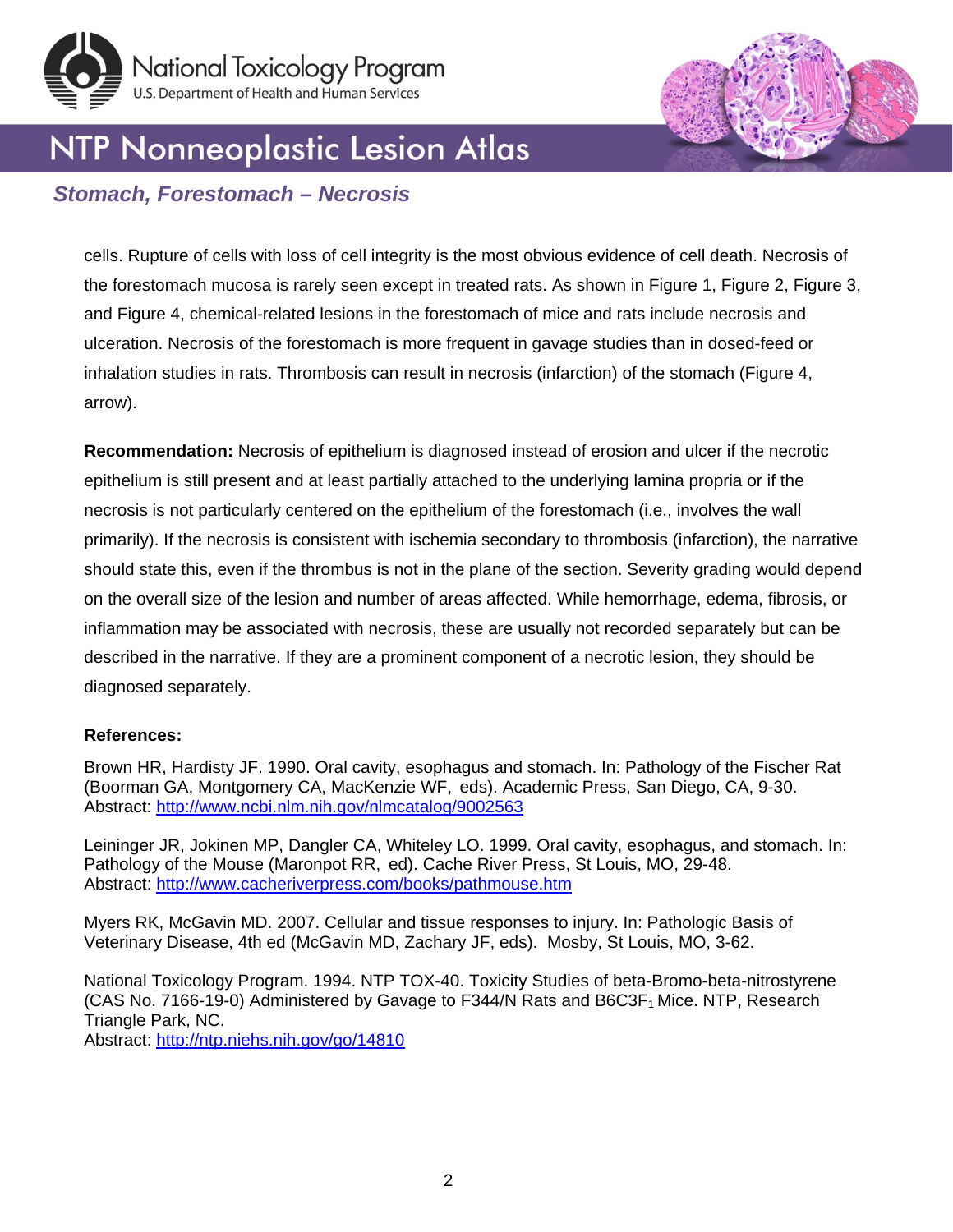



# NTP Nonneoplastic Lesion Atlas

### *Stomach, Forestomach – Necrosis*

cells. Rupture of cells with loss of cell integrity is the most obvious evidence of cell death. Necrosis of the forestomach mucosa is rarely seen except in treated rats. As shown in Figure 1, Figure 2, Figure 3, and Figure 4, chemical-related lesions in the forestomach of mice and rats include necrosis and ulceration. Necrosis of the forestomach is more frequent in gavage studies than in dosed-feed or inhalation studies in rats. Thrombosis can result in necrosis (infarction) of the stomach (Figure 4, arrow).

**Recommendation:** Necrosis of epithelium is diagnosed instead of erosion and ulcer if the necrotic epithelium is still present and at least partially attached to the underlying lamina propria or if the necrosis is not particularly centered on the epithelium of the forestomach (i.e., involves the wall primarily). If the necrosis is consistent with ischemia secondary to thrombosis (infarction), the narrative should state this, even if the thrombus is not in the plane of the section. Severity grading would depend on the overall size of the lesion and number of areas affected. While hemorrhage, edema, fibrosis, or inflammation may be associated with necrosis, these are usually not recorded separately but can be described in the narrative. If they are a prominent component of a necrotic lesion, they should be diagnosed separately.

#### **References:**

Brown HR, Hardisty JF. 1990. Oral cavity, esophagus and stomach. In: Pathology of the Fischer Rat (Boorman GA, Montgomery CA, MacKenzie WF, eds). Academic Press, San Diego, CA, 9-30. Abstract: <http://www.ncbi.nlm.nih.gov/nlmcatalog/9002563>

Leininger JR, Jokinen MP, Dangler CA, Whiteley LO. 1999. Oral cavity, esophagus, and stomach. In: Pathology of the Mouse (Maronpot RR, ed). Cache River Press, St Louis, MO, 29-48. Abstract:<http://www.cacheriverpress.com/books/pathmouse.htm>

Myers RK, McGavin MD. 2007. Cellular and tissue responses to injury. In: Pathologic Basis of Veterinary Disease, 4th ed (McGavin MD, Zachary JF, eds). Mosby, St Louis, MO, 3-62.

National Toxicology Program. 1994. NTP TOX-40. Toxicity Studies of beta-Bromo-beta-nitrostyrene (CAS No. 7166-19-0) Administered by Gavage to F344/N Rats and  $B6C3F<sub>1</sub>$  Mice. NTP, Research Triangle Park, NC.

Abstract:<http://ntp.niehs.nih.gov/go/14810>